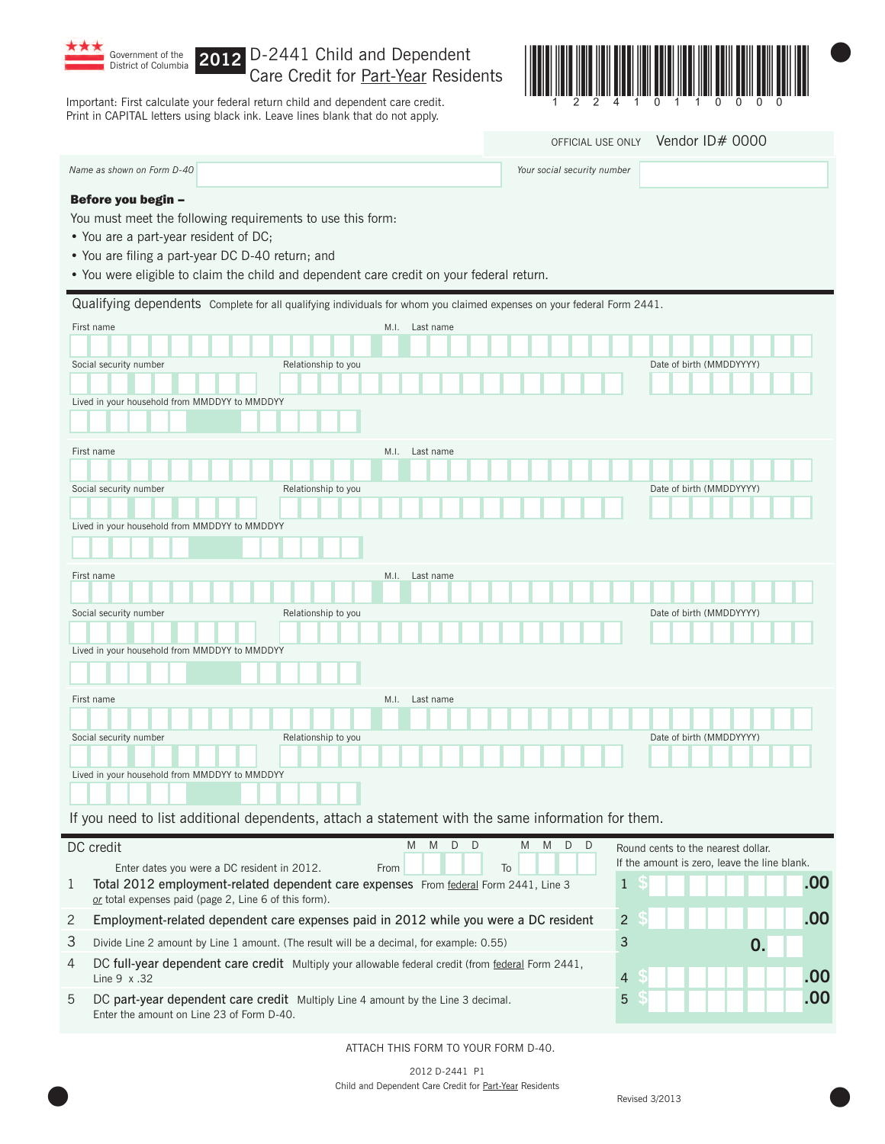

Lived in your household from MMDDYY to MMDDYY

## **2012** Care Credit for Part-Year Residents

Important: First calculate your federal return child and dependent care credit. Print in CAPITAL letters using black ink. Leave lines blank that do not apply.



| OFFICIAL USE ONLY | Vendor ID# 0000 |  |
|-------------------|-----------------|--|
|                   |                 |  |

|                                                                                                                                                         |                     |      |                | OFFICIAL USE ONLY           | Vendor ID# 0000          |
|---------------------------------------------------------------------------------------------------------------------------------------------------------|---------------------|------|----------------|-----------------------------|--------------------------|
| Name as shown on Form D-40                                                                                                                              |                     |      |                | Your social security number |                          |
| Before you begin -                                                                                                                                      |                     |      |                |                             |                          |
| You must meet the following requirements to use this form:<br>• You are a part-year resident of DC;<br>• You are filing a part-year DC D-40 return; and |                     |      |                |                             |                          |
| . You were eligible to claim the child and dependent care credit on your federal return.                                                                |                     |      |                |                             |                          |
| Qualifying dependents Complete for all qualifying individuals for whom you claimed expenses on your federal Form 2441.                                  |                     |      |                |                             |                          |
| First name                                                                                                                                              |                     | M.I. | Last name      |                             |                          |
|                                                                                                                                                         |                     |      |                |                             |                          |
| Social security number                                                                                                                                  | Relationship to you |      |                |                             | Date of birth (MMDDYYYY) |
|                                                                                                                                                         |                     |      |                |                             |                          |
| Lived in your household from MMDDYY to MMDDYY                                                                                                           |                     |      |                |                             |                          |
|                                                                                                                                                         |                     |      |                |                             |                          |
| First name                                                                                                                                              |                     |      | M.I. Last name |                             |                          |
|                                                                                                                                                         |                     |      |                |                             |                          |
| Social security number                                                                                                                                  | Relationship to you |      |                |                             | Date of birth (MMDDYYYY) |
|                                                                                                                                                         |                     |      |                |                             |                          |
| Lived in your household from MMDDYY to MMDDYY                                                                                                           |                     |      |                |                             |                          |
|                                                                                                                                                         |                     |      |                |                             |                          |
| First name                                                                                                                                              |                     | M.I. | Last name      |                             |                          |
|                                                                                                                                                         |                     |      |                |                             |                          |
| Social security number                                                                                                                                  | Relationship to you |      |                |                             | Date of birth (MMDDYYYY) |
|                                                                                                                                                         |                     |      |                |                             |                          |
| Lived in your household from MMDDYY to MMDDYY                                                                                                           |                     |      |                |                             |                          |
|                                                                                                                                                         |                     |      |                |                             |                          |
| First name                                                                                                                                              |                     | M.I. | Last name      |                             |                          |

| <u> Karena da kasas da</u> |
|----------------------------|
|----------------------------|

Social security number **Social security number** Relationship to you Date of birth (MMDDYYYY)

|                | DC credit<br>To<br>Enter dates you were a DC resident in 2012.<br>From                                                                        | Round cents to the nearest dollar.<br>If the amount is zero, leave the line blank. |     |
|----------------|-----------------------------------------------------------------------------------------------------------------------------------------------|------------------------------------------------------------------------------------|-----|
| 1              | Total 2012 employment-related dependent care expenses From federal Form 2441, Line 3<br>or total expenses paid (page 2, Line 6 of this form). |                                                                                    | .00 |
| 2              | Employment-related dependent care expenses paid in 2012 while you were a DC resident                                                          | $\overline{2}$                                                                     | .00 |
| 3              | Divide Line 2 amount by Line 1 amount. (The result will be a decimal, for example: 0.55)                                                      | 3                                                                                  |     |
| $\overline{4}$ | DC full-year dependent care credit Multiply your allowable federal credit (from federal Form 2441,<br>Line $9 \times .32$                     | 4                                                                                  | .00 |
| 5              | DC part-year dependent care credit Multiply Line 4 amount by the Line 3 decimal.<br>Enter the amount on Line 23 of Form D-40.                 |                                                                                    | .00 |

ATTACH THIS FORM TO YOUR FORM D-40.